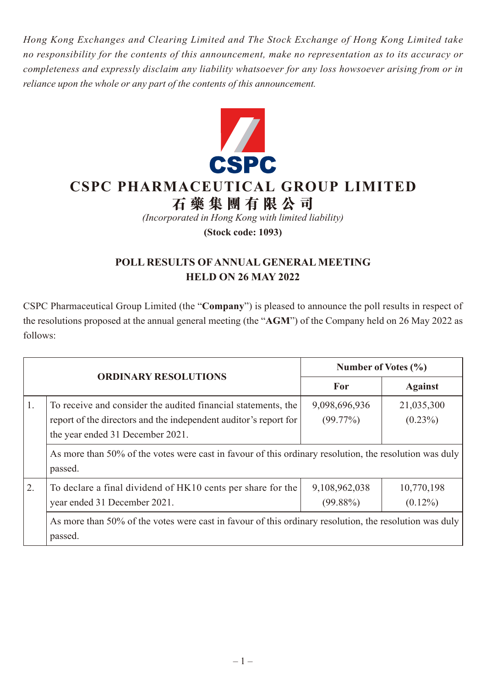*Hong Kong Exchanges and Clearing Limited and The Stock Exchange of Hong Kong Limited take no responsibility for the contents of this announcement, make no representation as to its accuracy or completeness and expressly disclaim any liability whatsoever for any loss howsoever arising from or in reliance upon the whole or any part of the contents of this announcement.*



## **CSPC PHARMACEUTICAL GROUP LIMITED**

## **石藥集團 有 限公司**

*(Incorporated in Hong Kong with limited liability)*

**(Stock code: 1093)**

## **POLL RESULTS OF ANNUAL GENERAL MEETING HELD ON 26 MAY 2022**

CSPC Pharmaceutical Group Limited (the "**Company**") is pleased to announce the poll results in respect of the resolutions proposed at the annual general meeting (the "**AGM**") of the Company held on 26 May 2022 as follows:

|    | <b>ORDINARY RESOLUTIONS</b>                                                                                                                                                                                                                                                                | Number of Votes $(\% )$      |                          |
|----|--------------------------------------------------------------------------------------------------------------------------------------------------------------------------------------------------------------------------------------------------------------------------------------------|------------------------------|--------------------------|
|    |                                                                                                                                                                                                                                                                                            | For                          | <b>Against</b>           |
| 1. | To receive and consider the audited financial statements, the<br>report of the directors and the independent auditor's report for<br>the year ended 31 December 2021.<br>As more than 50% of the votes were cast in favour of this ordinary resolution, the resolution was duly<br>passed. | 9,098,696,936<br>$(99.77\%)$ | 21,035,300<br>$(0.23\%)$ |
| 2. | To declare a final dividend of HK10 cents per share for the<br>year ended 31 December 2021.<br>As more than 50% of the votes were cast in favour of this ordinary resolution, the resolution was duly<br>passed.                                                                           | 9,108,962,038<br>$(99.88\%)$ | 10,770,198<br>$(0.12\%)$ |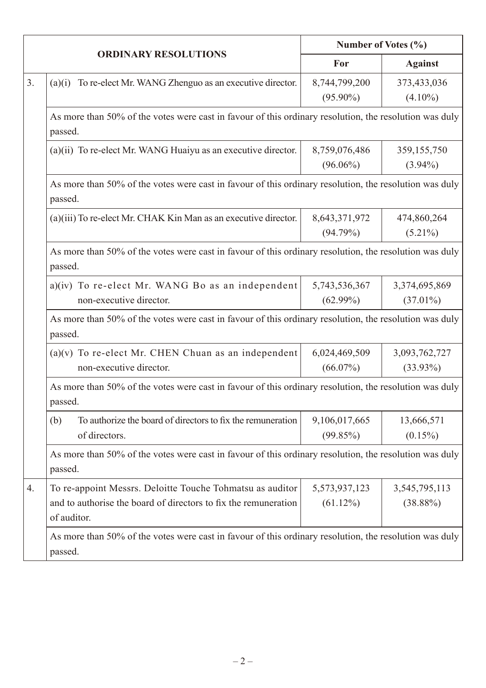|    | <b>ORDINARY RESOLUTIONS</b>                                                                                                                 | Number of Votes (%)          |                              |  |  |
|----|---------------------------------------------------------------------------------------------------------------------------------------------|------------------------------|------------------------------|--|--|
|    |                                                                                                                                             | For                          | <b>Against</b>               |  |  |
| 3. | To re-elect Mr. WANG Zhenguo as an executive director.<br>(a)(i)                                                                            | 8,744,799,200<br>$(95.90\%)$ | 373,433,036<br>$(4.10\%)$    |  |  |
|    | As more than 50% of the votes were cast in favour of this ordinary resolution, the resolution was duly<br>passed.                           |                              |                              |  |  |
|    | (a)(ii) To re-elect Mr. WANG Huaiyu as an executive director.                                                                               | 8,759,076,486<br>$(96.06\%)$ | 359, 155, 750<br>$(3.94\%)$  |  |  |
|    | As more than 50% of the votes were cast in favour of this ordinary resolution, the resolution was duly<br>passed.                           |                              |                              |  |  |
|    | (a)(iii) To re-elect Mr. CHAK Kin Man as an executive director.                                                                             | 8,643,371,972<br>(94.79%)    | 474,860,264<br>$(5.21\%)$    |  |  |
|    | As more than 50% of the votes were cast in favour of this ordinary resolution, the resolution was duly<br>passed.                           |                              |                              |  |  |
|    | a)(iv) To re-elect Mr. WANG Bo as an independent<br>non-executive director.                                                                 | 5,743,536,367<br>$(62.99\%)$ | 3,374,695,869<br>$(37.01\%)$ |  |  |
|    | As more than 50% of the votes were cast in favour of this ordinary resolution, the resolution was duly<br>passed.                           |                              |                              |  |  |
|    | $(a)(v)$ To re-elect Mr. CHEN Chuan as an independent<br>non-executive director.                                                            | 6,024,469,509<br>$(66.07\%)$ | 3,093,762,727<br>$(33.93\%)$ |  |  |
|    | As more than 50% of the votes were cast in favour of this ordinary resolution, the resolution was duly<br>passed.                           |                              |                              |  |  |
|    | To authorize the board of directors to fix the remuneration<br>(b)<br>of directors.                                                         | 9,106,017,665<br>(99.85%)    | 13,666,571<br>$(0.15\%)$     |  |  |
|    | As more than 50% of the votes were cast in favour of this ordinary resolution, the resolution was duly<br>passed.                           |                              |                              |  |  |
| 4. | To re-appoint Messrs. Deloitte Touche Tohmatsu as auditor<br>and to authorise the board of directors to fix the remuneration<br>of auditor. | 5,573,937,123<br>$(61.12\%)$ | 3,545,795,113<br>$(38.88\%)$ |  |  |
|    | As more than 50% of the votes were cast in favour of this ordinary resolution, the resolution was duly<br>passed.                           |                              |                              |  |  |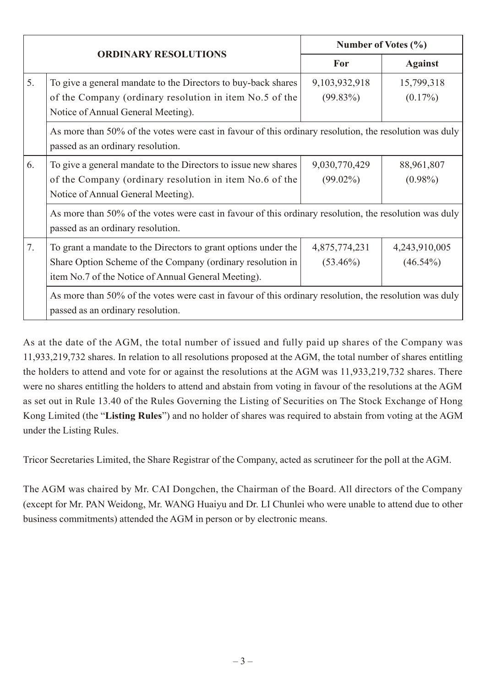| <b>ORDINARY RESOLUTIONS</b> |                                                                                                                                                                                     | Number of Votes (%)          |                              |  |  |  |
|-----------------------------|-------------------------------------------------------------------------------------------------------------------------------------------------------------------------------------|------------------------------|------------------------------|--|--|--|
|                             |                                                                                                                                                                                     | For                          | <b>Against</b>               |  |  |  |
| 5.                          | To give a general mandate to the Directors to buy-back shares<br>of the Company (ordinary resolution in item No.5 of the<br>Notice of Annual General Meeting).                      | 9,103,932,918<br>$(99.83\%)$ | 15,799,318<br>$(0.17\%)$     |  |  |  |
|                             | As more than 50% of the votes were cast in favour of this ordinary resolution, the resolution was duly<br>passed as an ordinary resolution.                                         |                              |                              |  |  |  |
| 6.                          | To give a general mandate to the Directors to issue new shares<br>of the Company (ordinary resolution in item No.6 of the<br>Notice of Annual General Meeting).                     | 9,030,770,429<br>$(99.02\%)$ | 88,961,807<br>$(0.98\%)$     |  |  |  |
|                             | As more than 50% of the votes were cast in favour of this ordinary resolution, the resolution was duly<br>passed as an ordinary resolution.                                         |                              |                              |  |  |  |
| 7.                          | To grant a mandate to the Directors to grant options under the<br>Share Option Scheme of the Company (ordinary resolution in<br>item No.7 of the Notice of Annual General Meeting). | 4,875,774,231<br>$(53.46\%)$ | 4,243,910,005<br>$(46.54\%)$ |  |  |  |
|                             | As more than 50% of the votes were cast in favour of this ordinary resolution, the resolution was duly<br>passed as an ordinary resolution.                                         |                              |                              |  |  |  |

As at the date of the AGM, the total number of issued and fully paid up shares of the Company was 11,933,219,732 shares. In relation to all resolutions proposed at the AGM, the total number of shares entitling the holders to attend and vote for or against the resolutions at the AGM was 11,933,219,732 shares. There were no shares entitling the holders to attend and abstain from voting in favour of the resolutions at the AGM as set out in Rule 13.40 of the Rules Governing the Listing of Securities on The Stock Exchange of Hong Kong Limited (the "**Listing Rules**") and no holder of shares was required to abstain from voting at the AGM under the Listing Rules.

Tricor Secretaries Limited, the Share Registrar of the Company, acted as scrutineer for the poll at the AGM.

The AGM was chaired by Mr. CAI Dongchen, the Chairman of the Board. All directors of the Company (except for Mr. PAN Weidong, Mr. WANG Huaiyu and Dr. LI Chunlei who were unable to attend due to other business commitments) attended the AGM in person or by electronic means.